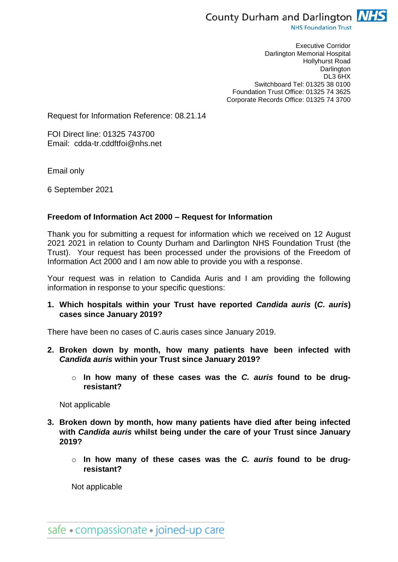

**NHS Foundation Trust** 

Executive Corridor Darlington Memorial Hospital Hollyhurst Road **Darlington** DL3 6HX Switchboard Tel: 01325 38 0100 Foundation Trust Office: 01325 74 3625 Corporate Records Office: 01325 74 3700

Request for Information Reference: 08.21.14

FOI Direct line: 01325 743700 Email: cdda-tr.cddftfoi@nhs.net

Email only

6 September 2021

## **Freedom of Information Act 2000 – Request for Information**

Thank you for submitting a request for information which we received on 12 August 2021 2021 in relation to County Durham and Darlington NHS Foundation Trust (the Trust). Your request has been processed under the provisions of the Freedom of Information Act 2000 and I am now able to provide you with a response.

Your request was in relation to Candida Auris and I am providing the following information in response to your specific questions:

**1. Which hospitals within your Trust have reported** *Candida auris* **(***C. auris***) cases since January 2019?** 

There have been no cases of C.auris cases since January 2019.

- **2. Broken down by month, how many patients have been infected with**  *Candida auris* **within your Trust since January 2019?** 
	- o **In how many of these cases was the** *C. auris* **found to be drugresistant?**

Not applicable

- **3. Broken down by month, how many patients have died after being infected with** *Candida auris* **whilst being under the care of your Trust since January 2019?**
	- o **In how many of these cases was the** *C. auris* **found to be drugresistant?**

Not applicable